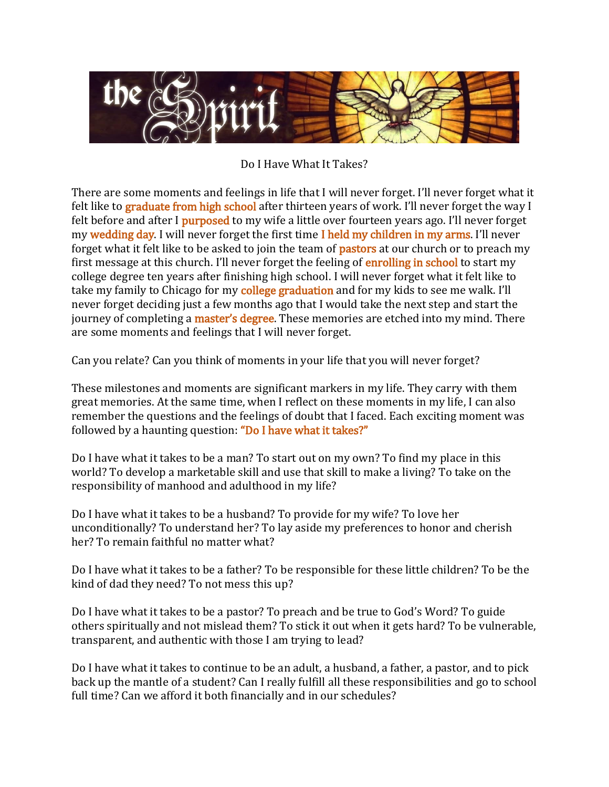

Do I Have What It Takes?

There are some moments and feelings in life that I will never forget. I'll never forget what it felt like to **graduate from high school** after thirteen years of work. I'll never forget the way I felt before and after I **purposed** to my wife a little over fourteen years ago. I'll never forget my wedding day. I will never forget the first time I held my children in my arms. I'll never forget what it felt like to be asked to join the team of **pastors** at our church or to preach my first message at this church. I'll never forget the feeling of enrolling in school to start my college degree ten years after finishing high school. I will never forget what it felt like to take my family to Chicago for my college graduation and for my kids to see me walk. I'll never forget deciding just a few months ago that I would take the next step and start the journey of completing a master's degree. These memories are etched into my mind. There are some moments and feelings that I will never forget.

Can you relate? Can you think of moments in your life that you will never forget?

These milestones and moments are significant markers in my life. They carry with them great memories. At the same time, when I reflect on these moments in my life, I can also remember the questions and the feelings of doubt that I faced. Each exciting moment was followed by a haunting question: "Do I have what it takes?"

Do I have what it takes to be a man? To start out on my own? To find my place in this world? To develop a marketable skill and use that skill to make a living? To take on the responsibility of manhood and adulthood in my life?

Do I have what it takes to be a husband? To provide for my wife? To love her unconditionally? To understand her? To lay aside my preferences to honor and cherish her? To remain faithful no matter what?

Do I have what it takes to be a father? To be responsible for these little children? To be the kind of dad they need? To not mess this up?

Do I have what it takes to be a pastor? To preach and be true to God's Word? To guide others spiritually and not mislead them? To stick it out when it gets hard? To be vulnerable, transparent, and authentic with those I am trying to lead?

Do I have what it takes to continue to be an adult, a husband, a father, a pastor, and to pick back up the mantle of a student? Can I really fulfill all these responsibilities and go to school full time? Can we afford it both financially and in our schedules?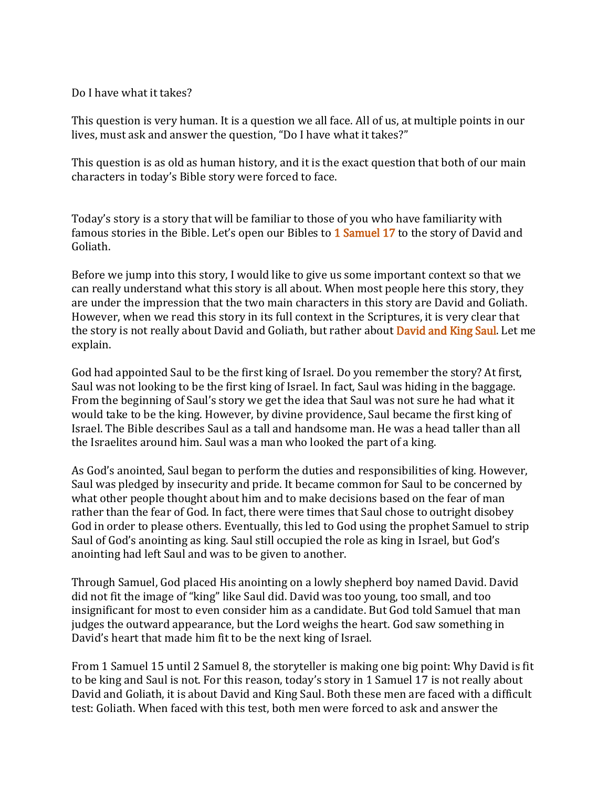Do I have what it takes?

This question is very human. It is a question we all face. All of us, at multiple points in our lives, must ask and answer the question, "Do I have what it takes?"

This question is as old as human history, and it is the exact question that both of our main characters in today's Bible story were forced to face.

Today's story is a story that will be familiar to those of you who have familiarity with famous stories in the Bible. Let's open our Bibles to 1 Samuel 17 to the story of David and Goliath.

Before we jump into this story, I would like to give us some important context so that we can really understand what this story is all about. When most people here this story, they are under the impression that the two main characters in this story are David and Goliath. However, when we read this story in its full context in the Scriptures, it is very clear that the story is not really about David and Goliath, but rather about **David and King Saul**. Let me explain.

God had appointed Saul to be the first king of Israel. Do you remember the story? At first, Saul was not looking to be the first king of Israel. In fact, Saul was hiding in the baggage. From the beginning of Saul's story we get the idea that Saul was not sure he had what it would take to be the king. However, by divine providence, Saul became the first king of Israel. The Bible describes Saul as a tall and handsome man. He was a head taller than all the Israelites around him. Saul was a man who looked the part of a king.

As God's anointed, Saul began to perform the duties and responsibilities of king. However, Saul was pledged by insecurity and pride. It became common for Saul to be concerned by what other people thought about him and to make decisions based on the fear of man rather than the fear of God. In fact, there were times that Saul chose to outright disobey God in order to please others. Eventually, this led to God using the prophet Samuel to strip Saul of God's anointing as king. Saul still occupied the role as king in Israel, but God's anointing had left Saul and was to be given to another.

Through Samuel, God placed His anointing on a lowly shepherd boy named David. David did not fit the image of "king" like Saul did. David was too young, too small, and too insignificant for most to even consider him as a candidate. But God told Samuel that man judges the outward appearance, but the Lord weighs the heart. God saw something in David's heart that made him fit to be the next king of Israel.

From 1 Samuel 15 until 2 Samuel 8, the storyteller is making one big point: Why David is fit to be king and Saul is not. For this reason, today's story in 1 Samuel 17 is not really about David and Goliath, it is about David and King Saul. Both these men are faced with a difficult test: Goliath. When faced with this test, both men were forced to ask and answer the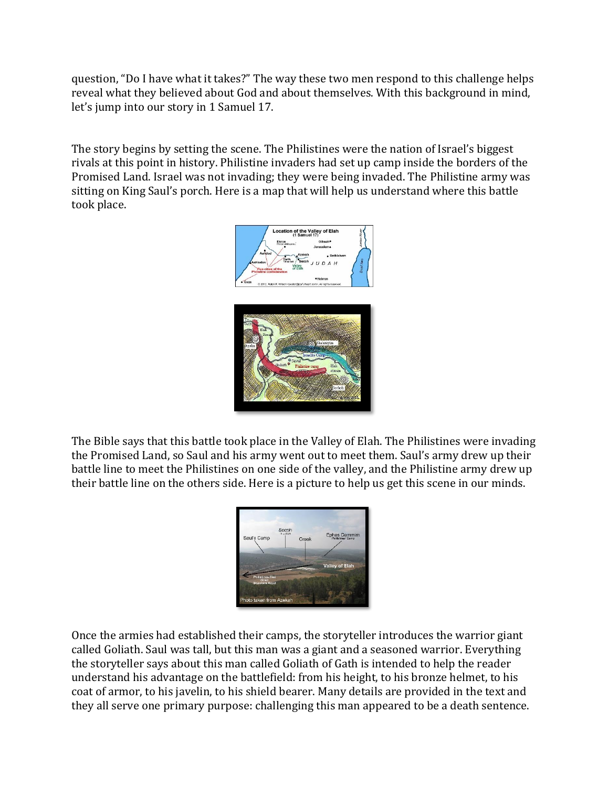question, "Do I have what it takes?" The way these two men respond to this challenge helps reveal what they believed about God and about themselves. With this background in mind, let's jump into our story in 1 Samuel 17.

The story begins by setting the scene. The Philistines were the nation of Israel's biggest rivals at this point in history. Philistine invaders had set up camp inside the borders of the Promised Land. Israel was not invading; they were being invaded. The Philistine army was sitting on King Saul's porch. Here is a map that will help us understand where this battle took place.



The Bible says that this battle took place in the Valley of Elah. The Philistines were invading the Promised Land, so Saul and his army went out to meet them. Saul's army drew up their battle line to meet the Philistines on one side of the valley, and the Philistine army drew up their battle line on the others side. Here is a picture to help us get this scene in our minds.



Once the armies had established their camps, the storyteller introduces the warrior giant called Goliath. Saul was tall, but this man was a giant and a seasoned warrior. Everything the storyteller says about this man called Goliath of Gath is intended to help the reader understand his advantage on the battlefield: from his height, to his bronze helmet, to his coat of armor, to his javelin, to his shield bearer. Many details are provided in the text and they all serve one primary purpose: challenging this man appeared to be a death sentence.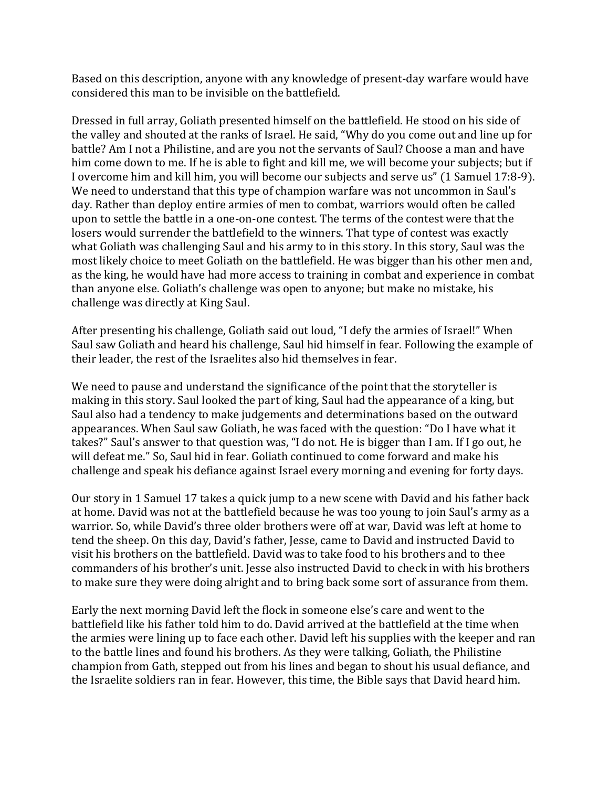Based on this description, anyone with any knowledge of present-day warfare would have considered this man to be invisible on the battlefield.

Dressed in full array, Goliath presented himself on the battlefield. He stood on his side of the valley and shouted at the ranks of Israel. He said, "Why do you come out and line up for battle? Am I not a Philistine, and are you not the servants of Saul? Choose a man and have him come down to me. If he is able to fight and kill me, we will become your subjects; but if I overcome him and kill him, you will become our subjects and serve us" (1 Samuel 17:8-9). We need to understand that this type of champion warfare was not uncommon in Saul's day. Rather than deploy entire armies of men to combat, warriors would often be called upon to settle the battle in a one-on-one contest. The terms of the contest were that the losers would surrender the battlefield to the winners. That type of contest was exactly what Goliath was challenging Saul and his army to in this story. In this story, Saul was the most likely choice to meet Goliath on the battlefield. He was bigger than his other men and, as the king, he would have had more access to training in combat and experience in combat than anyone else. Goliath's challenge was open to anyone; but make no mistake, his challenge was directly at King Saul.

After presenting his challenge, Goliath said out loud, "I defy the armies of Israel!" When Saul saw Goliath and heard his challenge, Saul hid himself in fear. Following the example of their leader, the rest of the Israelites also hid themselves in fear.

We need to pause and understand the significance of the point that the storyteller is making in this story. Saul looked the part of king, Saul had the appearance of a king, but Saul also had a tendency to make judgements and determinations based on the outward appearances. When Saul saw Goliath, he was faced with the question: "Do I have what it takes?" Saul's answer to that question was, "I do not. He is bigger than I am. If I go out, he will defeat me." So, Saul hid in fear. Goliath continued to come forward and make his challenge and speak his defiance against Israel every morning and evening for forty days.

Our story in 1 Samuel 17 takes a quick jump to a new scene with David and his father back at home. David was not at the battlefield because he was too young to join Saul's army as a warrior. So, while David's three older brothers were off at war, David was left at home to tend the sheep. On this day, David's father, Jesse, came to David and instructed David to visit his brothers on the battlefield. David was to take food to his brothers and to thee commanders of his brother's unit. Jesse also instructed David to check in with his brothers to make sure they were doing alright and to bring back some sort of assurance from them.

Early the next morning David left the flock in someone else's care and went to the battlefield like his father told him to do. David arrived at the battlefield at the time when the armies were lining up to face each other. David left his supplies with the keeper and ran to the battle lines and found his brothers. As they were talking, Goliath, the Philistine champion from Gath, stepped out from his lines and began to shout his usual defiance, and the Israelite soldiers ran in fear. However, this time, the Bible says that David heard him.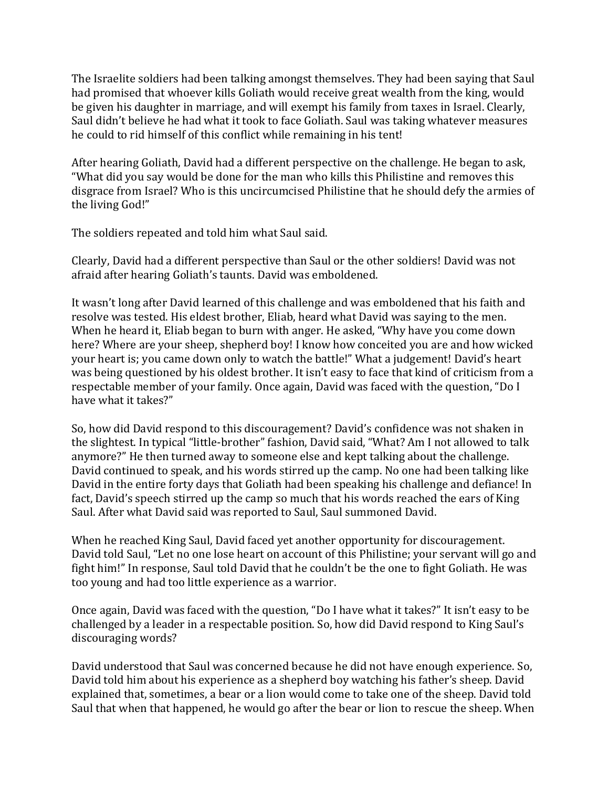The Israelite soldiers had been talking amongst themselves. They had been saying that Saul had promised that whoever kills Goliath would receive great wealth from the king, would be given his daughter in marriage, and will exempt his family from taxes in Israel. Clearly, Saul didn't believe he had what it took to face Goliath. Saul was taking whatever measures he could to rid himself of this conflict while remaining in his tent!

After hearing Goliath, David had a different perspective on the challenge. He began to ask, "What did you say would be done for the man who kills this Philistine and removes this disgrace from Israel? Who is this uncircumcised Philistine that he should defy the armies of the living God!"

The soldiers repeated and told him what Saul said.

Clearly, David had a different perspective than Saul or the other soldiers! David was not afraid after hearing Goliath's taunts. David was emboldened.

It wasn't long after David learned of this challenge and was emboldened that his faith and resolve was tested. His eldest brother, Eliab, heard what David was saying to the men. When he heard it, Eliab began to burn with anger. He asked, "Why have you come down here? Where are your sheep, shepherd boy! I know how conceited you are and how wicked your heart is; you came down only to watch the battle!" What a judgement! David's heart was being questioned by his oldest brother. It isn't easy to face that kind of criticism from a respectable member of your family. Once again, David was faced with the question, "Do I have what it takes?"

So, how did David respond to this discouragement? David's confidence was not shaken in the slightest. In typical "little-brother" fashion, David said, "What? Am I not allowed to talk anymore?" He then turned away to someone else and kept talking about the challenge. David continued to speak, and his words stirred up the camp. No one had been talking like David in the entire forty days that Goliath had been speaking his challenge and defiance! In fact, David's speech stirred up the camp so much that his words reached the ears of King Saul. After what David said was reported to Saul, Saul summoned David.

When he reached King Saul, David faced yet another opportunity for discouragement. David told Saul, "Let no one lose heart on account of this Philistine; your servant will go and fight him!" In response, Saul told David that he couldn't be the one to fight Goliath. He was too young and had too little experience as a warrior.

Once again, David was faced with the question, "Do I have what it takes?" It isn't easy to be challenged by a leader in a respectable position. So, how did David respond to King Saul's discouraging words?

David understood that Saul was concerned because he did not have enough experience. So, David told him about his experience as a shepherd boy watching his father's sheep. David explained that, sometimes, a bear or a lion would come to take one of the sheep. David told Saul that when that happened, he would go after the bear or lion to rescue the sheep. When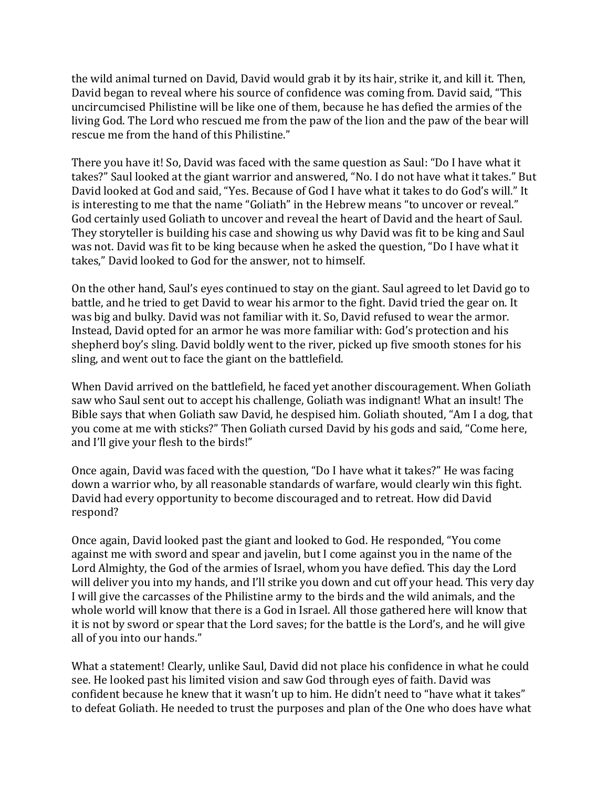the wild animal turned on David, David would grab it by its hair, strike it, and kill it. Then, David began to reveal where his source of confidence was coming from. David said, "This uncircumcised Philistine will be like one of them, because he has defied the armies of the living God. The Lord who rescued me from the paw of the lion and the paw of the bear will rescue me from the hand of this Philistine."

There you have it! So, David was faced with the same question as Saul: "Do I have what it takes?" Saul looked at the giant warrior and answered, "No. I do not have what it takes." But David looked at God and said, "Yes. Because of God I have what it takes to do God's will." It is interesting to me that the name "Goliath" in the Hebrew means "to uncover or reveal." God certainly used Goliath to uncover and reveal the heart of David and the heart of Saul. They storyteller is building his case and showing us why David was fit to be king and Saul was not. David was fit to be king because when he asked the question, "Do I have what it takes," David looked to God for the answer, not to himself.

On the other hand, Saul's eyes continued to stay on the giant. Saul agreed to let David go to battle, and he tried to get David to wear his armor to the fight. David tried the gear on. It was big and bulky. David was not familiar with it. So, David refused to wear the armor. Instead, David opted for an armor he was more familiar with: God's protection and his shepherd boy's sling. David boldly went to the river, picked up five smooth stones for his sling, and went out to face the giant on the battlefield.

When David arrived on the battlefield, he faced yet another discouragement. When Goliath saw who Saul sent out to accept his challenge, Goliath was indignant! What an insult! The Bible says that when Goliath saw David, he despised him. Goliath shouted, "Am I a dog, that you come at me with sticks?" Then Goliath cursed David by his gods and said, "Come here, and I'll give your flesh to the birds!"

Once again, David was faced with the question, "Do I have what it takes?" He was facing down a warrior who, by all reasonable standards of warfare, would clearly win this fight. David had every opportunity to become discouraged and to retreat. How did David respond?

Once again, David looked past the giant and looked to God. He responded, "You come against me with sword and spear and javelin, but I come against you in the name of the Lord Almighty, the God of the armies of Israel, whom you have defied. This day the Lord will deliver you into my hands, and I'll strike you down and cut off your head. This very day I will give the carcasses of the Philistine army to the birds and the wild animals, and the whole world will know that there is a God in Israel. All those gathered here will know that it is not by sword or spear that the Lord saves; for the battle is the Lord's, and he will give all of you into our hands."

What a statement! Clearly, unlike Saul, David did not place his confidence in what he could see. He looked past his limited vision and saw God through eyes of faith. David was confident because he knew that it wasn't up to him. He didn't need to "have what it takes" to defeat Goliath. He needed to trust the purposes and plan of the One who does have what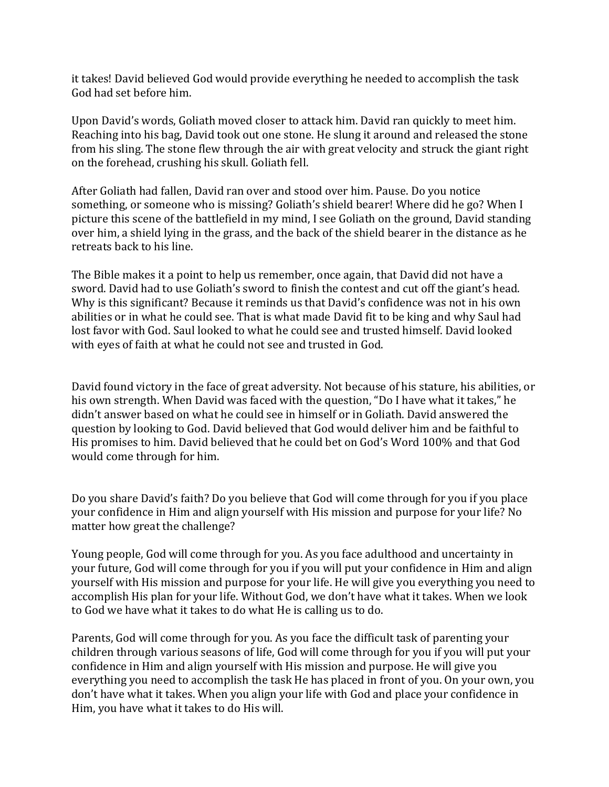it takes! David believed God would provide everything he needed to accomplish the task God had set before him.

Upon David's words, Goliath moved closer to attack him. David ran quickly to meet him. Reaching into his bag, David took out one stone. He slung it around and released the stone from his sling. The stone flew through the air with great velocity and struck the giant right on the forehead, crushing his skull. Goliath fell.

After Goliath had fallen, David ran over and stood over him. Pause. Do you notice something, or someone who is missing? Goliath's shield bearer! Where did he go? When I picture this scene of the battlefield in my mind, I see Goliath on the ground, David standing over him, a shield lying in the grass, and the back of the shield bearer in the distance as he retreats back to his line.

The Bible makes it a point to help us remember, once again, that David did not have a sword. David had to use Goliath's sword to finish the contest and cut off the giant's head. Why is this significant? Because it reminds us that David's confidence was not in his own abilities or in what he could see. That is what made David fit to be king and why Saul had lost favor with God. Saul looked to what he could see and trusted himself. David looked with eyes of faith at what he could not see and trusted in God.

David found victory in the face of great adversity. Not because of his stature, his abilities, or his own strength. When David was faced with the question, "Do I have what it takes," he didn't answer based on what he could see in himself or in Goliath. David answered the question by looking to God. David believed that God would deliver him and be faithful to His promises to him. David believed that he could bet on God's Word 100% and that God would come through for him.

Do you share David's faith? Do you believe that God will come through for you if you place your confidence in Him and align yourself with His mission and purpose for your life? No matter how great the challenge?

Young people, God will come through for you. As you face adulthood and uncertainty in your future, God will come through for you if you will put your confidence in Him and align yourself with His mission and purpose for your life. He will give you everything you need to accomplish His plan for your life. Without God, we don't have what it takes. When we look to God we have what it takes to do what He is calling us to do.

Parents, God will come through for you. As you face the difficult task of parenting your children through various seasons of life, God will come through for you if you will put your confidence in Him and align yourself with His mission and purpose. He will give you everything you need to accomplish the task He has placed in front of you. On your own, you don't have what it takes. When you align your life with God and place your confidence in Him, you have what it takes to do His will.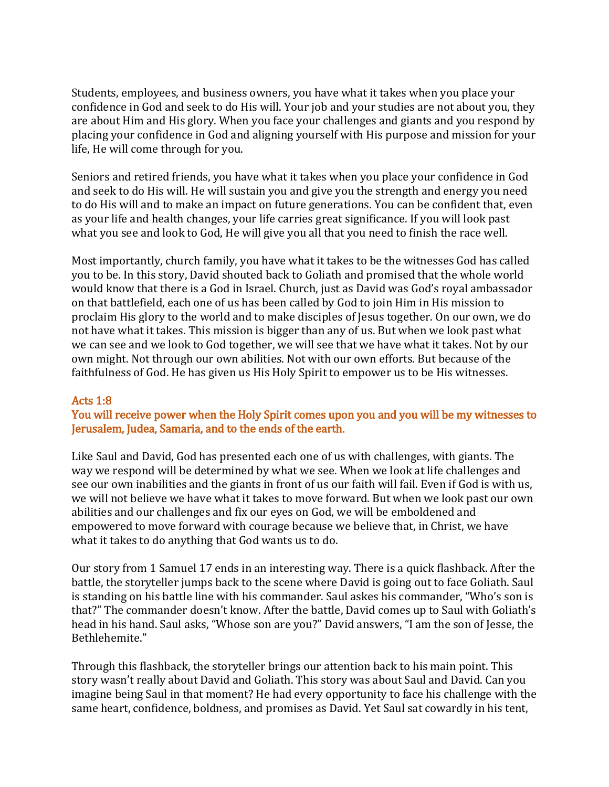Students, employees, and business owners, you have what it takes when you place your confidence in God and seek to do His will. Your job and your studies are not about you, they are about Him and His glory. When you face your challenges and giants and you respond by placing your confidence in God and aligning yourself with His purpose and mission for your life, He will come through for you.

Seniors and retired friends, you have what it takes when you place your confidence in God and seek to do His will. He will sustain you and give you the strength and energy you need to do His will and to make an impact on future generations. You can be confident that, even as your life and health changes, your life carries great significance. If you will look past what you see and look to God, He will give you all that you need to finish the race well.

Most importantly, church family, you have what it takes to be the witnesses God has called you to be. In this story, David shouted back to Goliath and promised that the whole world would know that there is a God in Israel. Church, just as David was God's royal ambassador on that battlefield, each one of us has been called by God to join Him in His mission to proclaim His glory to the world and to make disciples of Jesus together. On our own, we do not have what it takes. This mission is bigger than any of us. But when we look past what we can see and we look to God together, we will see that we have what it takes. Not by our own might. Not through our own abilities. Not with our own efforts. But because of the faithfulness of God. He has given us His Holy Spirit to empower us to be His witnesses.

## Acts 1:8

## You will receive power when the Holy Spirit comes upon you and you will be my witnesses to Jerusalem, Judea, Samaria, and to the ends of the earth.

Like Saul and David, God has presented each one of us with challenges, with giants. The way we respond will be determined by what we see. When we look at life challenges and see our own inabilities and the giants in front of us our faith will fail. Even if God is with us, we will not believe we have what it takes to move forward. But when we look past our own abilities and our challenges and fix our eyes on God, we will be emboldened and empowered to move forward with courage because we believe that, in Christ, we have what it takes to do anything that God wants us to do.

Our story from 1 Samuel 17 ends in an interesting way. There is a quick flashback. After the battle, the storyteller jumps back to the scene where David is going out to face Goliath. Saul is standing on his battle line with his commander. Saul askes his commander, "Who's son is that?" The commander doesn't know. After the battle, David comes up to Saul with Goliath's head in his hand. Saul asks, "Whose son are you?" David answers, "I am the son of Jesse, the Bethlehemite."

Through this flashback, the storyteller brings our attention back to his main point. This story wasn't really about David and Goliath. This story was about Saul and David. Can you imagine being Saul in that moment? He had every opportunity to face his challenge with the same heart, confidence, boldness, and promises as David. Yet Saul sat cowardly in his tent,